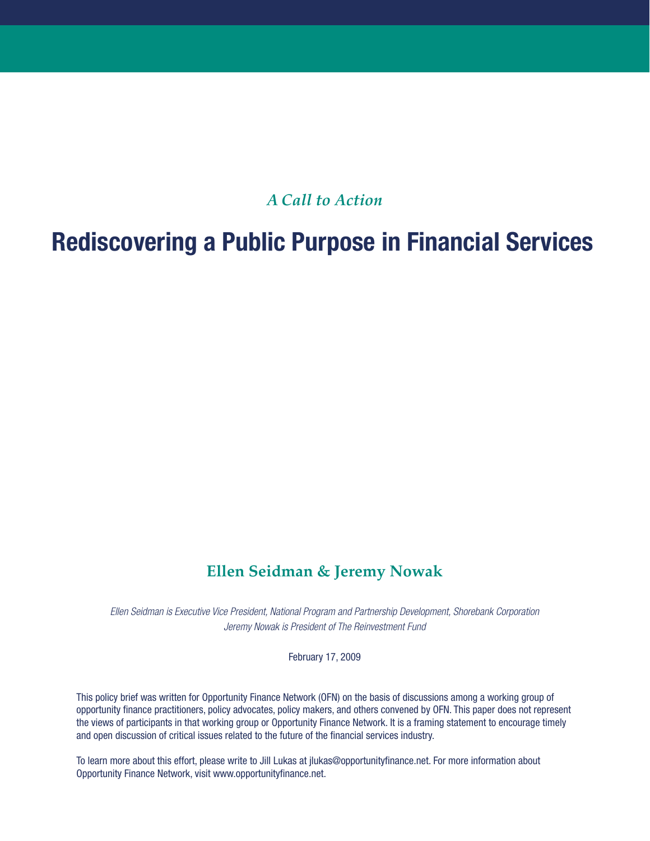## *A Call to Action*

# **Rediscovering a Public Purpose in Financial Services**

## **Ellen Seidman & Jeremy Nowak**

*Ellen Seidman is Executive Vice President, National Program and Partnership Development, Shorebank Corporation Jeremy Nowak is President of The Reinvestment Fund*

February 17, 2009

This policy brief was written for Opportunity Finance Network (OFN) on the basis of discussions among a working group of opportunity finance practitioners, policy advocates, policy makers, and others convened by OFN. This paper does not represent the views of participants in that working group or Opportunity Finance Network. It is a framing statement to encourage timely and open discussion of critical issues related to the future of the financial services industry.

To learn more about this effort, please write to Jill Lukas at jlukas@opportunityfinance.net. For more information about Opportunity Finance Network, visit www.opportunityfinance.net.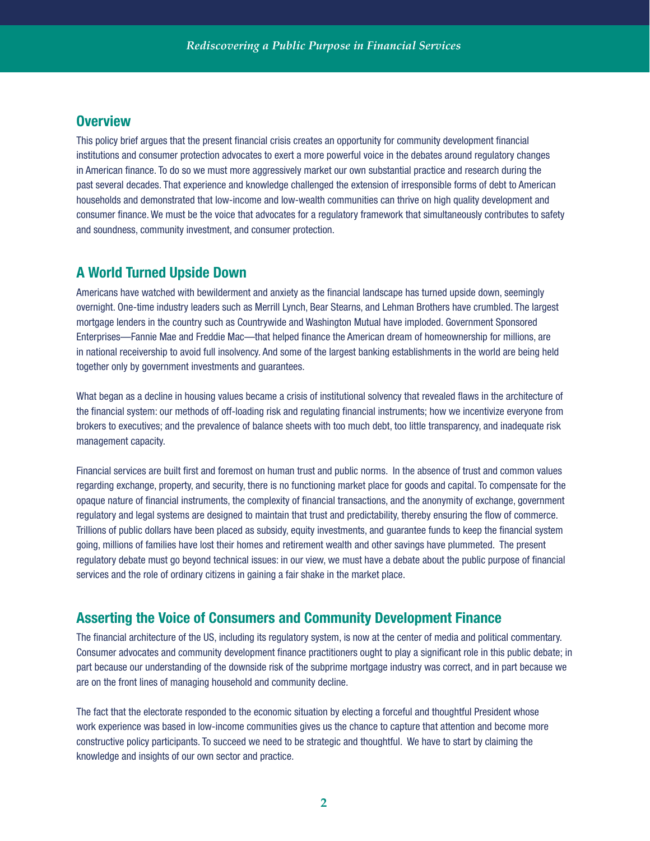#### **Overview**

This policy brief argues that the present financial crisis creates an opportunity for community development financial institutions and consumer protection advocates to exert a more powerful voice in the debates around regulatory changes in American finance. To do so we must more aggressively market our own substantial practice and research during the past several decades. That experience and knowledge challenged the extension of irresponsible forms of debt to American households and demonstrated that low-income and low-wealth communities can thrive on high quality development and consumer finance. We must be the voice that advocates for a regulatory framework that simultaneously contributes to safety and soundness, community investment, and consumer protection.

#### **A World Turned Upside Down**

Americans have watched with bewilderment and anxiety as the financial landscape has turned upside down, seemingly overnight. One-time industry leaders such as Merrill Lynch, Bear Stearns, and Lehman Brothers have crumbled. The largest mortgage lenders in the country such as Countrywide and Washington Mutual have imploded. Government Sponsored Enterprises—Fannie Mae and Freddie Mac—that helped finance the American dream of homeownership for millions, are in national receivership to avoid full insolvency. And some of the largest banking establishments in the world are being held together only by government investments and guarantees.

What began as a decline in housing values became a crisis of institutional solvency that revealed flaws in the architecture of the financial system: our methods of off-loading risk and regulating financial instruments; how we incentivize everyone from brokers to executives; and the prevalence of balance sheets with too much debt, too little transparency, and inadequate risk management capacity.

Financial services are built first and foremost on human trust and public norms. In the absence of trust and common values regarding exchange, property, and security, there is no functioning market place for goods and capital. To compensate for the opaque nature of financial instruments, the complexity of financial transactions, and the anonymity of exchange, government regulatory and legal systems are designed to maintain that trust and predictability, thereby ensuring the flow of commerce. Trillions of public dollars have been placed as subsidy, equity investments, and guarantee funds to keep the financial system going, millions of families have lost their homes and retirement wealth and other savings have plummeted. The present regulatory debate must go beyond technical issues: in our view, we must have a debate about the public purpose of financial services and the role of ordinary citizens in gaining a fair shake in the market place.

### **Asserting the Voice of Consumers and Community Development Finance**

The financial architecture of the US, including its regulatory system, is now at the center of media and political commentary. Consumer advocates and community development finance practitioners ought to play a significant role in this public debate; in part because our understanding of the downside risk of the subprime mortgage industry was correct, and in part because we are on the front lines of managing household and community decline.

The fact that the electorate responded to the economic situation by electing a forceful and thoughtful President whose work experience was based in low-income communities gives us the chance to capture that attention and become more constructive policy participants. To succeed we need to be strategic and thoughtful. We have to start by claiming the knowledge and insights of our own sector and practice.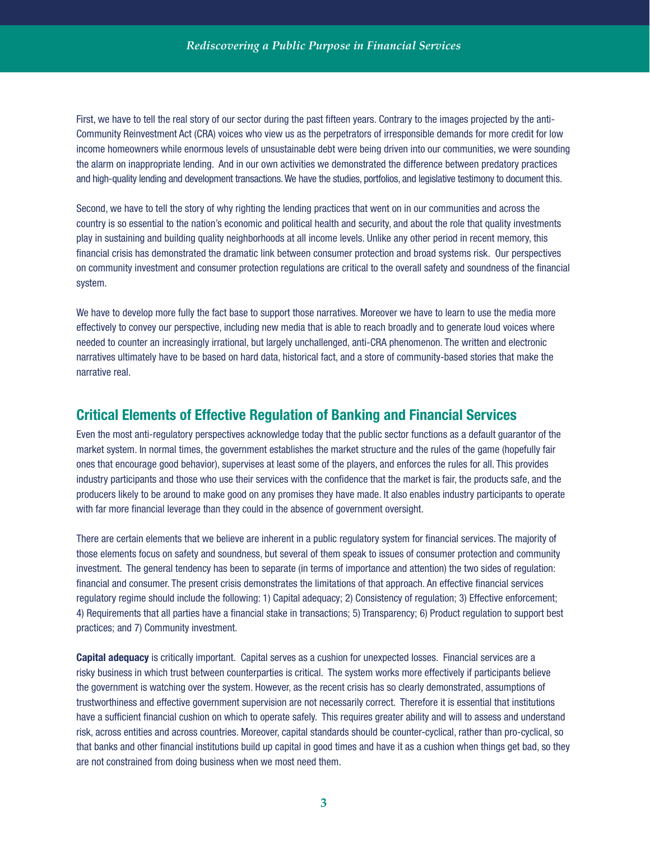First, we have to tell the real story of our sector during the past fifteen years. Contrary to the images projected by the anti-Community Reinvestment Act (CRA) voices who view us as the perpetrators of irresponsible demands for more credit for low income homeowners while enormous levels of unsustainable debt were being driven into our communities, we were sounding the alarm on inappropriate lending. And in our own activities we demonstrated the difference between predatory practices and high-quality lending and development transactions. We have the studies, portfolios, and legislative testimony to document this.

Second, we have to tell the story of why righting the lending practices that went on in our communities and across the country is so essential to the nation's economic and political health and security, and about the role that quality investments play in sustaining and building quality neighborhoods at all income levels. Unlike any other period in recent memory, this financial crisis has demonstrated the dramatic link between consumer protection and broad systems risk. Our perspectives on community investment and consumer protection regulations are critical to the overall safety and soundness of the financial system.

We have to develop more fully the fact base to support those narratives. Moreover we have to learn to use the media more effectively to convey our perspective, including new media that is able to reach broadly and to generate loud voices where needed to counter an increasingly irrational, but largely unchallenged, anti-CRA phenomenon. The written and electronic narratives ultimately have to be based on hard data, historical fact, and a store of community-based stories that make the narrative real.

#### **Critical Elements of Effective Regulation of Banking and Financial Services**

Even the most anti-regulatory perspectives acknowledge today that the public sector functions as a default guarantor of the market system. In normal times, the government establishes the market structure and the rules of the game (hopefully fair ones that encourage good behavior), supervises at least some of the players, and enforces the rules for all. This provides industry participants and those who use their services with the confidence that the market is fair, the products safe, and the producers likely to be around to make good on any promises they have made. It also enables industry participants to operate with far more financial leverage than they could in the absence of government oversight.

There are certain elements that we believe are inherent in a public regulatory system for financial services. The majority of those elements focus on safety and soundness, but several of them speak to issues of consumer protection and community investment. The general tendency has been to separate (in terms of importance and attention) the two sides of regulation: financial and consumer. The present crisis demonstrates the limitations of that approach. An effective financial services regulatory regime should include the following: 1) Capital adequacy; 2) Consistency of regulation; 3) Effective enforcement; 4) Requirements that all parties have a financial stake in transactions; 5) Transparency; 6) Product regulation to support best practices; and 7) Community investment.

**Capital adequacy** is critically important. Capital serves as a cushion for unexpected losses. Financial services are a risky business in which trust between counterparties is critical. The system works more effectively if participants believe the government is watching over the system. However, as the recent crisis has so clearly demonstrated, assumptions of trustworthiness and effective government supervision are not necessarily correct. Therefore it is essential that institutions have a sufficient financial cushion on which to operate safely. This requires greater ability and will to assess and understand risk, across entities and across countries. Moreover, capital standards should be counter-cyclical, rather than pro-cyclical, so that banks and other financial institutions build up capital in good times and have it as a cushion when things get bad, so they are not constrained from doing business when we most need them.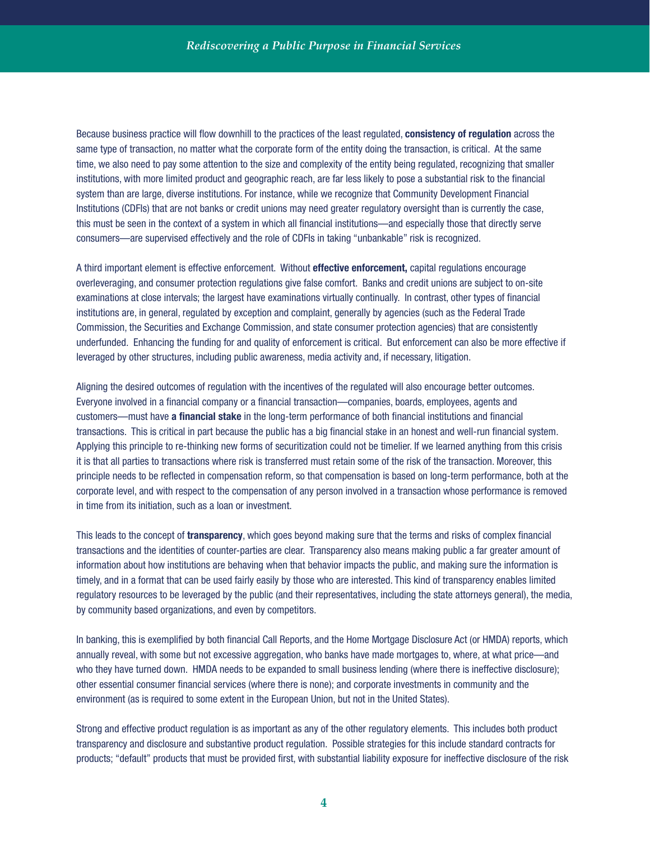Because business practice will flow downhill to the practices of the least regulated, **consistency of regulation** across the same type of transaction, no matter what the corporate form of the entity doing the transaction, is critical. At the same time, we also need to pay some attention to the size and complexity of the entity being regulated, recognizing that smaller institutions, with more limited product and geographic reach, are far less likely to pose a substantial risk to the financial system than are large, diverse institutions. For instance, while we recognize that Community Development Financial Institutions (CDFIs) that are not banks or credit unions may need greater regulatory oversight than is currently the case, this must be seen in the context of a system in which all financial institutions—and especially those that directly serve consumers—are supervised effectively and the role of CDFIs in taking "unbankable" risk is recognized.

A third important element is effective enforcement. Without **effective enforcement,** capital regulations encourage overleveraging, and consumer protection regulations give false comfort. Banks and credit unions are subject to on-site examinations at close intervals; the largest have examinations virtually continually. In contrast, other types of financial institutions are, in general, regulated by exception and complaint, generally by agencies (such as the Federal Trade Commission, the Securities and Exchange Commission, and state consumer protection agencies) that are consistently underfunded. Enhancing the funding for and quality of enforcement is critical. But enforcement can also be more effective if leveraged by other structures, including public awareness, media activity and, if necessary, litigation.

Aligning the desired outcomes of regulation with the incentives of the regulated will also encourage better outcomes. Everyone involved in a financial company or a financial transaction—companies, boards, employees, agents and customers—must have **a financial stake** in the long-term performance of both financial institutions and financial transactions. This is critical in part because the public has a big financial stake in an honest and well-run financial system. Applying this principle to re-thinking new forms of securitization could not be timelier. If we learned anything from this crisis it is that all parties to transactions where risk is transferred must retain some of the risk of the transaction. Moreover, this principle needs to be reflected in compensation reform, so that compensation is based on long-term performance, both at the corporate level, and with respect to the compensation of any person involved in a transaction whose performance is removed in time from its initiation, such as a loan or investment.

This leads to the concept of **transparency**, which goes beyond making sure that the terms and risks of complex financial transactions and the identities of counter-parties are clear. Transparency also means making public a far greater amount of information about how institutions are behaving when that behavior impacts the public, and making sure the information is timely, and in a format that can be used fairly easily by those who are interested. This kind of transparency enables limited regulatory resources to be leveraged by the public (and their representatives, including the state attorneys general), the media, by community based organizations, and even by competitors.

In banking, this is exemplified by both financial Call Reports, and the Home Mortgage Disclosure Act (or HMDA) reports, which annually reveal, with some but not excessive aggregation, who banks have made mortgages to, where, at what price—and who they have turned down. HMDA needs to be expanded to small business lending (where there is ineffective disclosure); other essential consumer financial services (where there is none); and corporate investments in community and the environment (as is required to some extent in the European Union, but not in the United States).

Strong and effective product regulation is as important as any of the other regulatory elements. This includes both product transparency and disclosure and substantive product regulation. Possible strategies for this include standard contracts for products; "default" products that must be provided first, with substantial liability exposure for ineffective disclosure of the risk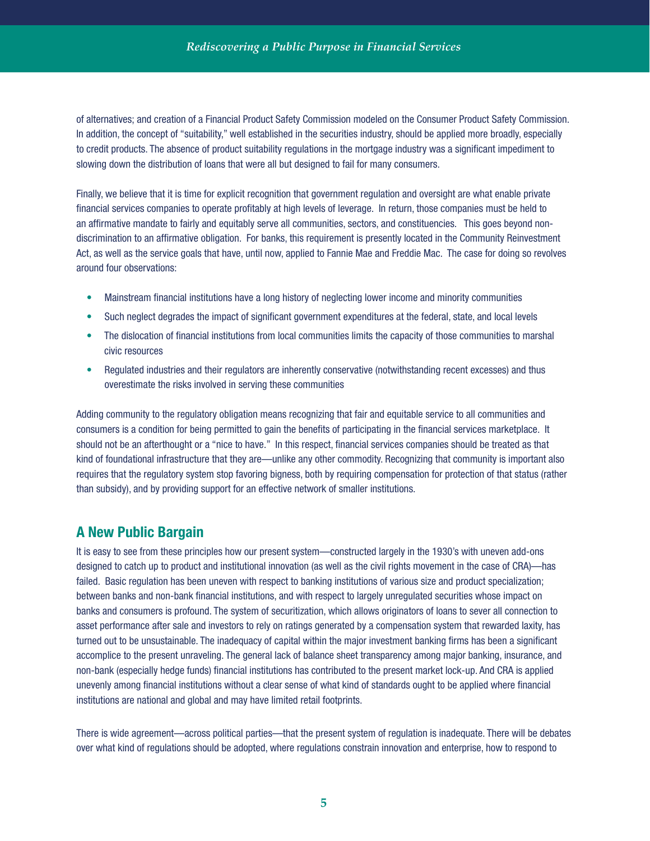of alternatives; and creation of a Financial Product Safety Commission modeled on the Consumer Product Safety Commission. In addition, the concept of "suitability," well established in the securities industry, should be applied more broadly, especially to credit products. The absence of product suitability regulations in the mortgage industry was a significant impediment to slowing down the distribution of loans that were all but designed to fail for many consumers.

Finally, we believe that it is time for explicit recognition that government regulation and oversight are what enable private financial services companies to operate profitably at high levels of leverage. In return, those companies must be held to an affirmative mandate to fairly and equitably serve all communities, sectors, and constituencies. This goes beyond nondiscrimination to an affirmative obligation. For banks, this requirement is presently located in the Community Reinvestment Act, as well as the service goals that have, until now, applied to Fannie Mae and Freddie Mac. The case for doing so revolves around four observations:

- Mainstream financial institutions have a long history of neglecting lower income and minority communities
- Such neglect degrades the impact of significant government expenditures at the federal, state, and local levels
- The dislocation of financial institutions from local communities limits the capacity of those communities to marshal civic resources
- Regulated industries and their regulators are inherently conservative (notwithstanding recent excesses) and thus overestimate the risks involved in serving these communities

Adding community to the regulatory obligation means recognizing that fair and equitable service to all communities and consumers is a condition for being permitted to gain the benefits of participating in the financial services marketplace. It should not be an afterthought or a "nice to have." In this respect, financial services companies should be treated as that kind of foundational infrastructure that they are—unlike any other commodity. Recognizing that community is important also requires that the regulatory system stop favoring bigness, both by requiring compensation for protection of that status (rather than subsidy), and by providing support for an effective network of smaller institutions.

#### **A New Public Bargain**

It is easy to see from these principles how our present system—constructed largely in the 1930's with uneven add-ons designed to catch up to product and institutional innovation (as well as the civil rights movement in the case of CRA)—has failed. Basic regulation has been uneven with respect to banking institutions of various size and product specialization; between banks and non-bank financial institutions, and with respect to largely unregulated securities whose impact on banks and consumers is profound. The system of securitization, which allows originators of loans to sever all connection to asset performance after sale and investors to rely on ratings generated by a compensation system that rewarded laxity, has turned out to be unsustainable. The inadequacy of capital within the major investment banking firms has been a significant accomplice to the present unraveling. The general lack of balance sheet transparency among major banking, insurance, and non-bank (especially hedge funds) financial institutions has contributed to the present market lock-up. And CRA is applied unevenly among financial institutions without a clear sense of what kind of standards ought to be applied where financial institutions are national and global and may have limited retail footprints.

There is wide agreement—across political parties—that the present system of regulation is inadequate. There will be debates over what kind of regulations should be adopted, where regulations constrain innovation and enterprise, how to respond to